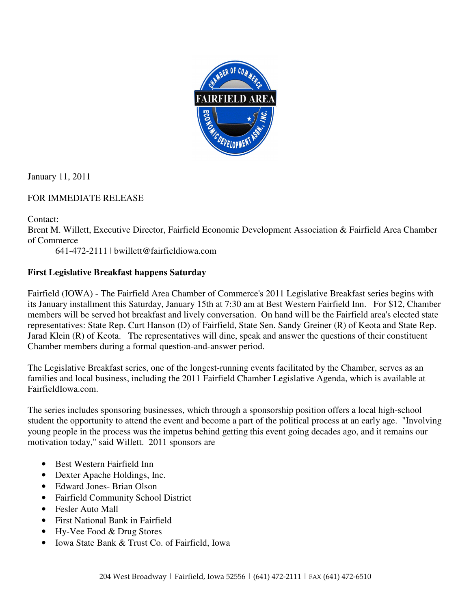

January 11, 2011

## FOR IMMEDIATE RELEASE

Contact:

Brent M. Willett, Executive Director, Fairfield Economic Development Association & Fairfield Area Chamber of Commerce

641-472-2111 | bwillett@fairfieldiowa.com

## **First Legislative Breakfast happens Saturday**

Fairfield (IOWA) - The Fairfield Area Chamber of Commerce's 2011 Legislative Breakfast series begins with its January installment this Saturday, January 15th at 7:30 am at Best Western Fairfield Inn. For \$12, Chamber members will be served hot breakfast and lively conversation. On hand will be the Fairfield area's elected state representatives: State Rep. Curt Hanson (D) of Fairfield, State Sen. Sandy Greiner (R) of Keota and State Rep. Jarad Klein (R) of Keota. The representatives will dine, speak and answer the questions of their constituent Chamber members during a formal question-and-answer period.

The Legislative Breakfast series, one of the longest-running events facilitated by the Chamber, serves as an families and local business, including the 2011 Fairfield Chamber Legislative Agenda, which is available at FairfieldIowa.com.

The series includes sponsoring businesses, which through a sponsorship position offers a local high-school student the opportunity to attend the event and become a part of the political process at an early age. "Involving young people in the process was the impetus behind getting this event going decades ago, and it remains our motivation today," said Willett. 2011 sponsors are

- Best Western Fairfield Inn
- Dexter Apache Holdings, Inc.
- Edward Jones- Brian Olson
- Fairfield Community School District
- Fesler Auto Mall
- First National Bank in Fairfield
- Hy-Vee Food & Drug Stores
- Iowa State Bank & Trust Co. of Fairfield, Iowa